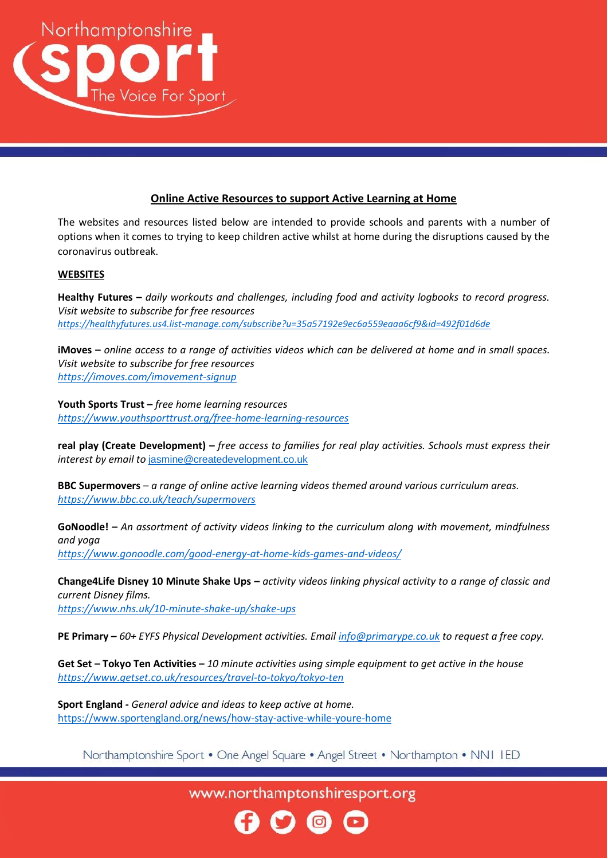

## **Online Active Resources to support Active Learning at Home**

The websites and resources listed below are intended to provide schools and parents with a number of options when it comes to trying to keep children active whilst at home during the disruptions caused by the coronavirus outbreak.

## **WEBSITES**

**Healthy Futures –** *daily workouts and challenges, including food and activity logbooks to record progress. Visit website to subscribe for free resources <https://healthyfutures.us4.list-manage.com/subscribe?u=35a57192e9ec6a559eaaa6cf9&id=492f01d6de>*

**iMoves –** *online access to a range of activities videos which can be delivered at home and in small spaces. Visit website to subscribe for free resources <https://imoves.com/imovement-signup>*

**Youth Sports Trust –** *free home learning resources <https://www.youthsporttrust.org/free-home-learning-resources>*

**real play (Create Development) –** *free access to families for real play activities. Schools must express their interest by email to* [jasmine@createdevelopment.co.uk](mailto:jasmine@createdevelopment.co.uk)

**BBC Supermovers** – *a range of online active learning videos themed around various curriculum areas. <https://www.bbc.co.uk/teach/supermovers>*

**GoNoodle! –** *An assortment of activity videos linking to the curriculum along with movement, mindfulness and yoga <https://www.gonoodle.com/good-energy-at-home-kids-games-and-videos/>*

**Change4Life Disney 10 Minute Shake Ups –** *activity videos linking physical activity to a range of classic and current Disney films. <https://www.nhs.uk/10-minute-shake-up/shake-ups>*

**PE Primary –** *60+ EYFS Physical Development activities. Emai[l info@primarype.co.uk](mailto:info@primarype.co.uk) to request a free copy.*

**Get Set – Tokyo Ten Activities –** *10 minute activities using simple equipment to get active in the house <https://www.getset.co.uk/resources/travel-to-tokyo/tokyo-ten>*

**Sport England -** *General advice and ideas to keep active at home.* <https://www.sportengland.org/news/how-stay-active-while-youre-home>

Northamptonshire Sport • One Angel Square • Angel Street • Northampton • NN1 IED

www.northamptonshiresport.org